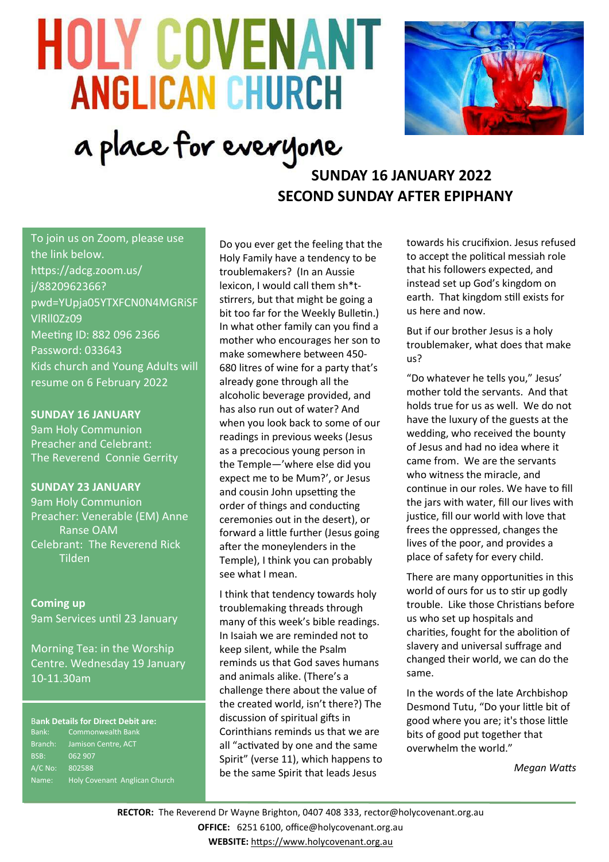# **HOLY COVENANT ANGLICAN CHURCH**



# a place for everyone

## **SUNDAY 16 JANUARY 2022 SECOND SUNDAY AFTER EPIPHANY**

To join us on Zoom, please use the link below. https://adcg.zoom.us/ j/8820962366? pwd=YUpja05YTXFCN0N4MGRiSF VlRll0Zz09 Meeting ID: 882 096 2366 Password: 033643 Kids church and Young Adults will resume on 6 February 2022

#### **SUNDAY 16 JANUARY**

9am Holy Communion Preacher and Celebrant: The Reverend Connie Gerrity

#### **SUNDAY 23 JANUARY**

9am Holy Communion Preacher: Venerable (EM) Anne Ranse OAM Celebrant: The Reverend Rick Tilden

**Coming up** 9am Services until 23 January

Morning Tea: in the Worship Centre. Wednesday 19 January 10-11.30am

#### B**ank Details for Direct Debit are:**

Bank: Commonwealth Bank Branch: Jamison Centre, ACT BSB: 062 907 A/C No: 802588 Name: Holy Covenant Anglican Church Do you ever get the feeling that the Holy Family have a tendency to be troublemakers? (In an Aussie lexicon, I would call them sh\*tstirrers, but that might be going a bit too far for the Weekly Bulletin.) In what other family can you find a mother who encourages her son to make somewhere between 450- 680 litres of wine for a party that's already gone through all the alcoholic beverage provided, and has also run out of water? And when you look back to some of our readings in previous weeks (Jesus as a precocious young person in the Temple—'where else did you expect me to be Mum?', or Jesus and cousin John upsetting the order of things and conducting ceremonies out in the desert), or forward a little further (Jesus going after the moneylenders in the Temple), I think you can probably see what I mean.

I think that tendency towards holy troublemaking threads through many of this week's bible readings. In Isaiah we are reminded not to keep silent, while the Psalm reminds us that God saves humans and animals alike. (There's a challenge there about the value of the created world, isn't there?) The discussion of spiritual gifts in Corinthians reminds us that we are all "activated by one and the same Spirit" (verse 11), which happens to be the same Spirit that leads Jesus

towards his crucifixion. Jesus refused to accept the political messiah role that his followers expected, and instead set up God's kingdom on earth. That kingdom still exists for us here and now.

But if our brother Jesus is a holy troublemaker, what does that make us?

"Do whatever he tells you," Jesus' mother told the servants. And that holds true for us as well. We do not have the luxury of the guests at the wedding, who received the bounty of Jesus and had no idea where it came from. We are the servants who witness the miracle, and continue in our roles. We have to fill the jars with water, fill our lives with justice, fill our world with love that frees the oppressed, changes the lives of the poor, and provides a place of safety for every child.

There are many opportunities in this world of ours for us to stir up godly trouble. Like those Christians before us who set up hospitals and charities, fought for the abolition of slavery and universal suffrage and changed their world, we can do the same.

In the words of the late Archbishop Desmond Tutu, "Do your little bit of good where you are; it's those little bits of good put together that overwhelm the world."

*Megan Watts*

**RECTOR:** The Reverend Dr Wayne Brighton, 0407 408 333, [rector@holycovenant.org.au](mailto:rector@holycovenant.org.au) **OFFICE:** 6251 6100, office@holycovenant.org.au **WEBSITE:** [https://www.holycovenant.org.au](https://www.holycovenant.org.au/)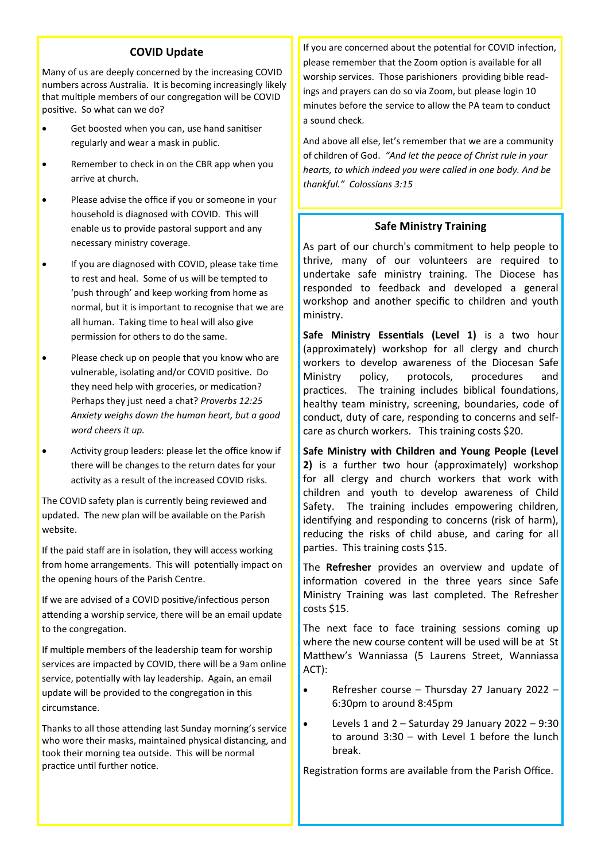#### **COVID Update**

Many of us are deeply concerned by the increasing COVID numbers across Australia. It is becoming increasingly likely that multiple members of our congregation will be COVID positive. So what can we do?

- Get boosted when you can, use hand sanitiser regularly and wear a mask in public.
- Remember to check in on the CBR app when you arrive at church.
- Please advise the office if you or someone in your household is diagnosed with COVID. This will enable us to provide pastoral support and any necessary ministry coverage.
- If you are diagnosed with COVID, please take time to rest and heal. Some of us will be tempted to 'push through' and keep working from home as normal, but it is important to recognise that we are all human. Taking time to heal will also give permission for others to do the same.
- Please check up on people that you know who are vulnerable, isolating and/or COVID positive. Do they need help with groceries, or medication? Perhaps they just need a chat? *Proverbs 12:25 Anxiety weighs down the human heart, but a good word cheers it up.*
- Activity group leaders: please let the office know if there will be changes to the return dates for your activity as a result of the increased COVID risks.

The COVID safety plan is currently being reviewed and updated. The new plan will be available on the Parish website.

If the paid staff are in isolation, they will access working from home arrangements. This will potentially impact on the opening hours of the Parish Centre.

If we are advised of a COVID positive/infectious person attending a worship service, there will be an email update to the congregation.

If multiple members of the leadership team for worship services are impacted by COVID, there will be a 9am online service, potentially with lay leadership. Again, an email update will be provided to the congregation in this circumstance.

Thanks to all those attending last Sunday morning's service who wore their masks, maintained physical distancing, and took their morning tea outside. This will be normal practice until further notice.

If you are concerned about the potential for COVID infection, please remember that the Zoom option is available for all worship services. Those parishioners providing bible readings and prayers can do so via Zoom, but please login 10 minutes before the service to allow the PA team to conduct a sound check.

And above all else, let's remember that we are a community of children of God. *"And let the peace of Christ rule in your hearts, to which indeed you were called in one body. And be thankful." Colossians 3:15*

#### **Safe Ministry Training**

As part of our church's commitment to help people to thrive, many of our volunteers are required to undertake safe ministry training. The Diocese has responded to feedback and developed a general workshop and another specific to children and youth ministry.

**Safe Ministry Essentials (Level 1)** is a two hour (approximately) workshop for all clergy and church workers to develop awareness of the Diocesan Safe Ministry policy, protocols, procedures and practices. The training includes biblical foundations, healthy team ministry, screening, boundaries, code of conduct, duty of care, responding to concerns and selfcare as church workers. This training costs \$20.

**Safe Ministry with Children and Young People (Level 2)** is a further two hour (approximately) workshop for all clergy and church workers that work with children and youth to develop awareness of Child Safety. The training includes empowering children, identifying and responding to concerns (risk of harm), reducing the risks of child abuse, and caring for all parties. This training costs \$15.

The **Refresher** provides an overview and update of information covered in the three years since Safe Ministry Training was last completed. The Refresher costs \$15.

The next face to face training sessions coming up where the new course content will be used will be at St Matthew's Wanniassa (5 Laurens Street, Wanniassa ACT):

- Refresher course Thursday 27 January 2022 6:30pm to around 8:45pm
- Levels 1 and  $2 -$  Saturday 29 January 2022 9:30 to around  $3:30 -$  with Level 1 before the lunch break.

Registration forms are available from the Parish Office.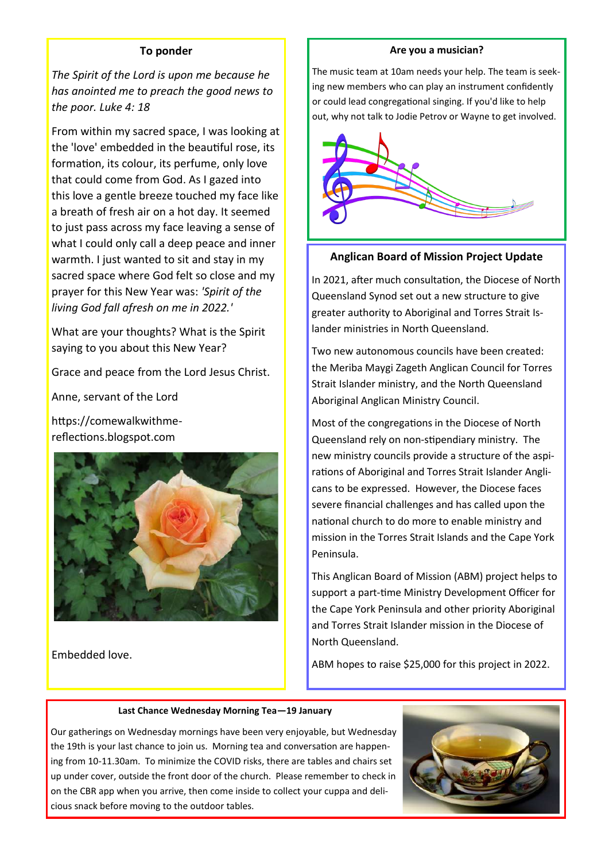#### **To ponder**

*The Spirit of the Lord is upon me because he has anointed me to preach the good news to the poor. Luke 4: 18*

From within my sacred space, I was looking at the 'love' embedded in the beautiful rose, its formation, its colour, its perfume, only love that could come from God. As I gazed into this love a gentle breeze touched my face like a breath of fresh air on a hot day. It seemed to just pass across my face leaving a sense of what I could only call a deep peace and inner warmth. I just wanted to sit and stay in my sacred space where God felt so close and my prayer for this New Year was: *'Spirit of the living God fall afresh on me in 2022.'*

What are your thoughts? What is the Spirit saying to you about this New Year?

Grace and peace from the Lord Jesus Christ.

Anne, servant of the Lord

https://comewalkwithmereflections.blogspot.com



Embedded love.

#### **Are you a musician?**

The music team at 10am needs your help. The team is seeking new members who can play an instrument confidently or could lead congregational singing. If you'd like to help out, why not talk to Jodie Petrov or Wayne to get involved.



#### **Anglican Board of Mission Project Update**

In 2021, after much consultation, the Diocese of North Queensland Synod set out a new structure to give greater authority to Aboriginal and Torres Strait Islander ministries in North Queensland.

Two new autonomous councils have been created: the Meriba Maygi Zageth Anglican Council for Torres Strait Islander ministry, and the North Queensland Aboriginal Anglican Ministry Council.

Most of the congregations in the Diocese of North Queensland rely on non-stipendiary ministry. The new ministry councils provide a structure of the aspirations of Aboriginal and Torres Strait Islander Anglicans to be expressed. However, the Diocese faces severe financial challenges and has called upon the national church to do more to enable ministry and mission in the Torres Strait Islands and the Cape York Peninsula.

This Anglican Board of Mission (ABM) project helps to support a part-time Ministry Development Officer for the Cape York Peninsula and other priority Aboriginal and Torres Strait Islander mission in the Diocese of North Queensland.

ABM hopes to raise \$25,000 for this project in 2022.

#### **Last Chance Wednesday Morning Tea—19 January**

Our gatherings on Wednesday mornings have been very enjoyable, but Wednesday the 19th is your last chance to join us. Morning tea and conversation are happening from 10-11.30am. To minimize the COVID risks, there are tables and chairs set up under cover, outside the front door of the church. Please remember to check in on the CBR app when you arrive, then come inside to collect your cuppa and delicious snack before moving to the outdoor tables.

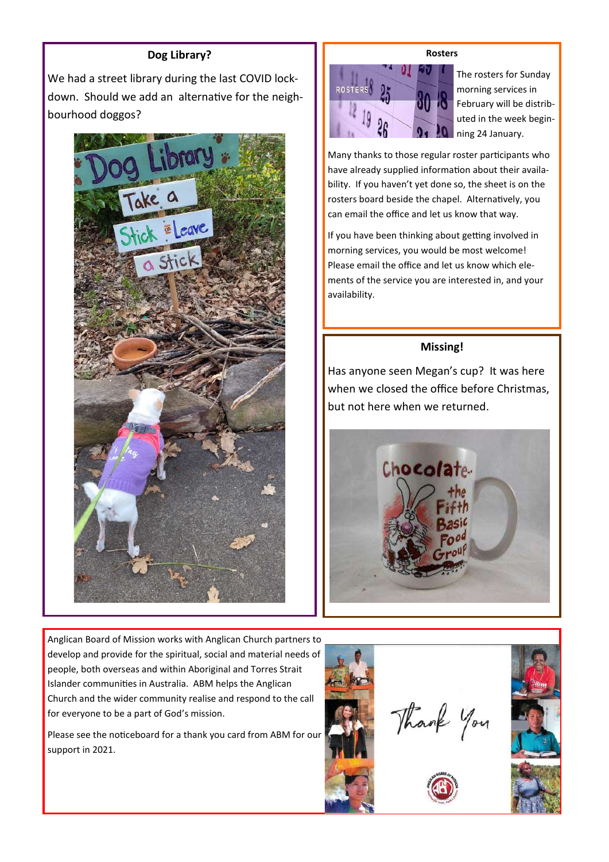#### **Dog Library?**

We had a street library during the last COVID lockdown. Should we add an alternative for the neighbourhood doggos?



**Rosters**



The rosters for Sunday morning services in February will be distributed in the week beginning 24 January.

Many thanks to those regular roster participants who have already supplied information about their availability. If you haven't yet done so, the sheet is on the rosters board beside the chapel. Alternatively, you can email the office and let us know that way.

If you have been thinking about getting involved in morning services, you would be most welcome! Please email the office and let us know which elements of the service you are interested in, and your availability.

#### **Missing!**

Has anyone seen Megan's cup? It was here when we closed the office before Christmas, but not here when we returned.



Anglican Board of Mission works with Anglican Church partners to develop and provide for the spiritual, social and material needs of people, both overseas and within Aboriginal and Torres Strait Islander communities in Australia. ABM helps the Anglican Church and the wider community realise and respond to the call for everyone to be a part of God's mission.

Please see the noticeboard for a thank you card from ABM for our support in 2021.